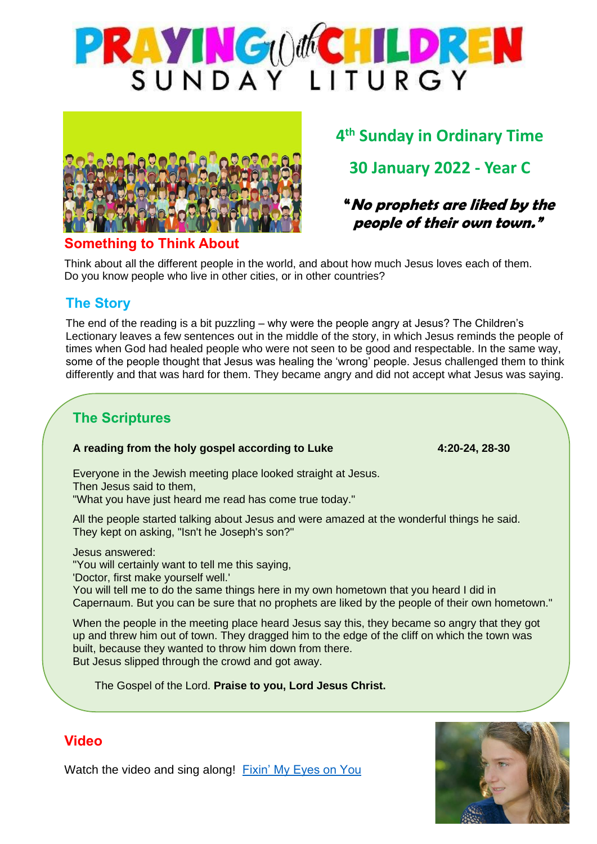



# **4 th Sunday in Ordinary Time 30 January 2022 - Year C**

**"No prophets are liked by the people of their own town."**

#### **Something to Think About**

Think about all the different people in the world, and about how much Jesus loves each of them. Do you know people who live in other cities, or in other countries?

### **The Story**

The end of the reading is a bit puzzling – why were the people angry at Jesus? The Children's Lectionary leaves a few sentences out in the middle of the story, in which Jesus reminds the people of times when God had healed people who were not seen to be good and respectable. In the same way, some of the people thought that Jesus was healing the 'wrong' people. Jesus challenged them to think differently and that was hard for them. They became angry and did not accept what Jesus was saying.

# **The Scriptures**

#### **A reading from the holy gospel according to Luke 4:20-24, 28-30**

Everyone in the Jewish meeting place looked straight at Jesus. Then Jesus said to them, "What you have just heard me read has come true today."

All the people started talking about Jesus and were amazed at the wonderful things he said. They kept on asking, "Isn't he Joseph's son?"

Jesus answered:

"You will certainly want to tell me this saying,

'Doctor, first make yourself well.'

You will tell me to do the same things here in my own hometown that you heard I did in Capernaum. But you can be sure that no prophets are liked by the people of their own hometown."

When the people in the meeting place heard Jesus say this, they became so angry that they got up and threw him out of town. They dragged him to the edge of the cliff on which the town was built, because they wanted to throw him down from there. But Jesus slipped through the crowd and got away.

The Gospel of the Lord. **Praise to you, Lord Jesus Christ.**



#### **Video**

Watch the video and sing along! [Fixin' My Eyes on You](https://www.youtube.com/watch?v=POKPmF4Bm2k)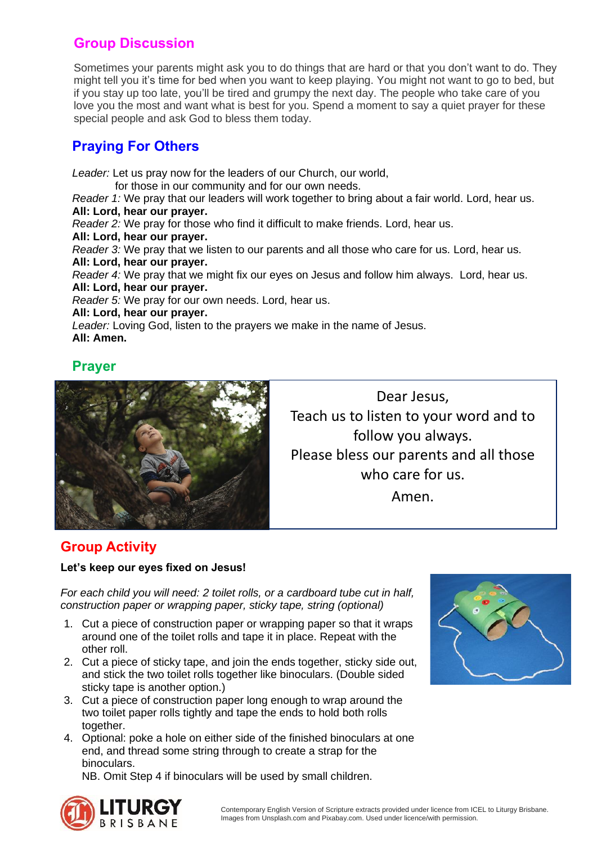# **Group Discussion**

Sometimes your parents might ask you to do things that are hard or that you don't want to do. They might tell you it's time for bed when you want to keep playing. You might not want to go to bed, but if you stay up too late, you'll be tired and grumpy the next day. The people who take care of you love you the most and want what is best for you. Spend a moment to say a quiet prayer for these special people and ask God to bless them today.

# **Praying For Others**

*Leader:* Let us pray now for the leaders of our Church, our world, for those in our community and for our own needs. *Reader 1:* We pray that our leaders will work together to bring about a fair world. Lord, hear us. **All: Lord, hear our prayer.** *Reader 2:* We pray for those who find it difficult to make friends. Lord, hear us. **All: Lord, hear our prayer.** *Reader 3:* We pray that we listen to our parents and all those who care for us. Lord, hear us. **All: Lord, hear our prayer.** *Reader 4:* We pray that we might fix our eyes on Jesus and follow him always. Lord, hear us. **All: Lord, hear our prayer.** *Reader 5:* We pray for our own needs. Lord, hear us. **All: Lord, hear our prayer.** *Leader:* Loving God, listen to the prayers we make in the name of Jesus. **All: Amen.**

#### **Prayer**



Dear Jesus, Teach us to listen to your word and to follow you always. Please bless our parents and all those who care for us. Amen.

### **Group Activity**

#### **Let's keep our eyes fixed on Jesus!**

*For each child you will need: 2 toilet rolls, or a cardboard tube cut in half, construction paper or wrapping paper, sticky tape, string (optional)*

- 1. Cut a piece of construction paper or wrapping paper so that it wraps around one of the toilet rolls and tape it in place. Repeat with the other roll.
- 2. Cut a piece of sticky tape, and join the ends together, sticky side out, and stick the two toilet rolls together like binoculars. (Double sided sticky tape is another option.)
- 3. Cut a piece of construction paper long enough to wrap around the two toilet paper rolls tightly and tape the ends to hold both rolls together.
- 4. Optional: poke a hole on either side of the finished binoculars at one end, and thread some string through to create a strap for the binoculars.

NB. Omit Step 4 if binoculars will be used by small children.